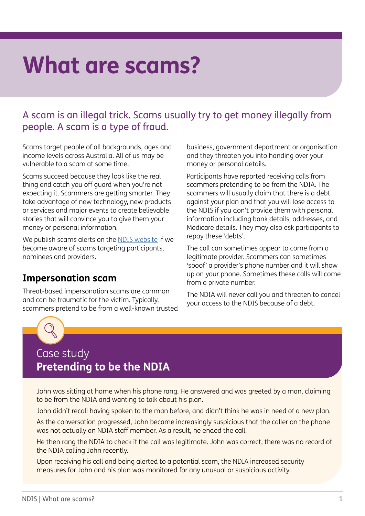## **What are scams?**

## A scam is an illegal trick. Scams usually try to get money illegally from people. A scam is a type of fraud.

Scams target people of all backgrounds, ages and income levels across Australia. All of us may be vulnerable to a scam at some time.

Scams succeed because they look like the real thing and catch you off guard when you're not expecting it. Scammers are getting smarter. They take advantage of new technology, new products or services and major events to create believable stories that will convince you to give them your money or personal information.

We publish scams alerts on the [NDIS website](https://www.ndis.gov.au/news/latest?f%5B0%5D=news_category%3A163) if we become aware of scams targeting participants, nominees and providers.

## **Impersonation scam**

Threat-based impersonation scams are common and can be traumatic for the victim. Typically, scammers pretend to be from a well-known trusted business, government department or organisation and they threaten you into handing over your money or personal details.

Participants have reported receiving calls from scammers pretending to be from the NDIA. The scammers will usually claim that there is a debt against your plan and that you will lose access to the NDIS if you don't provide them with personal information including bank details, addresses, and Medicare details. They may also ask participants to repay these 'debts'.

The call can sometimes appear to come from a legitimate provider. Scammers can sometimes 'spoof' a provider's phone number and it will show up on your phone. Sometimes these calls will come from a private number.

The NDIA will never call you and threaten to cancel your access to the NDIS because of a debt.



## Case study **Pretending to be the NDIA**

John was sitting at home when his phone rang. He answered and was greeted by a man, claiming to be from the NDIA and wanting to talk about his plan.

John didn't recall having spoken to the man before, and didn't think he was in need of a new plan.

As the conversation progressed, John became increasingly suspicious that the caller on the phone was not actually an NDIA staff member. As a result, he ended the call.

He then rang the NDIA to check if the call was legitimate. John was correct, there was no record of the NDIA calling John recently.

Upon receiving his call and being alerted to a potential scam, the NDIA increased security measures for John and his plan was monitored for any unusual or suspicious activity.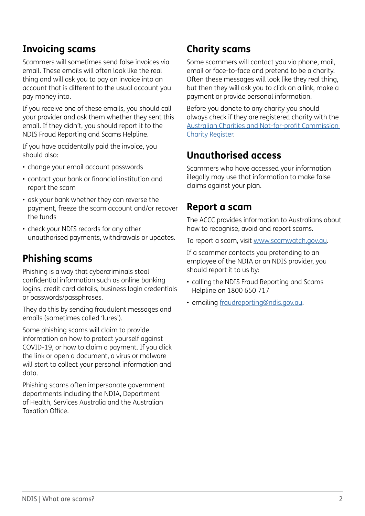## **Invoicing scams**

Scammers will sometimes send false invoices via email. These emails will often look like the real thing and will ask you to pay an invoice into an account that is different to the usual account you pay money into.

If you receive one of these emails, you should call your provider and ask them whether they sent this email. If they didn't, you should report it to the NDIS Fraud Reporting and Scams Helpline.

If you have accidentally paid the invoice, you should also:

- change your email account passwords
- contact your bank or financial institution and report the scam
- ask your bank whether they can reverse the payment, freeze the scam account and/or recover the funds
- check your NDIS records for any other unauthorised payments, withdrawals or updates.

## **Phishing scams**

Phishing is a way that cybercriminals steal confidential information such as online banking logins, credit card details, business login credentials or passwords/passphrases.

They do this by sending fraudulent messages and emails (sometimes called 'lures').

Some phishing scams will claim to provide information on how to protect yourself against COVID-19, or how to claim a payment. If you click the link or open a document, a virus or malware will start to collect your personal information and data.

Phishing scams often impersonate government departments including the NDIA, Department of Health, Services Australia and the Australian Taxation Office.

## **Charity scams**

Some scammers will contact you via phone, mail, email or face-to-face and pretend to be a charity. Often these messages will look like they real thing, but then they will ask you to click on a link, make a payment or provide personal information.

Before you donate to any charity you should always check if they are registered charity with the [Australian Charities and Not-for-profit Commission](https://www.acnc.gov.au/charity)  [Charity Register](https://www.acnc.gov.au/charity).

## **Unauthorised access**

Scammers who have accessed your information illegally may use that information to make false claims against your plan.

### **Report a scam**

The ACCC provides information to Australians about how to recognise, avoid and report scams.

To report a scam, visit [www.scamwatch.gov.au](http://www.scamwatch.gov.au/).

If a scammer contacts you pretending to an employee of the NDIA or an NDIS provider, you should report it to us by:

- calling the NDIS Fraud Reporting and Scams Helpline on 1800 650 717
- emailing [fraudreporting@ndis.gov.au](mailto:fraudreporting%40ndis.gov.au?subject=).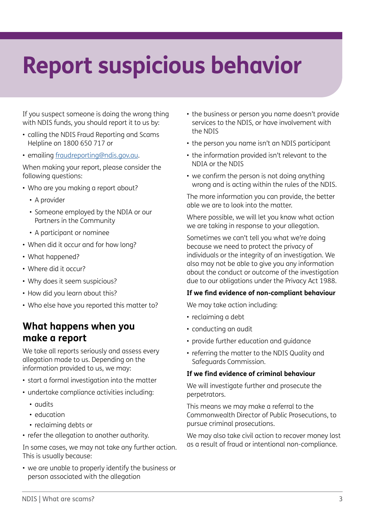# **Report suspicious behavior**

If you suspect someone is doing the wrong thing with NDIS funds, you should report it to us by:

- calling the NDIS Fraud Reporting and Scams Helpline on 1800 650 717 or
- emailing [fraudreporting@ndis.gov.au](mailto:fraudreporting%40ndis.gov.au?subject=).

When making your report, please consider the following questions:

- Who are you making a report about?
	- A provider
	- Someone employed by the NDIA or our Partners in the Community
	- A participant or nominee
- When did it occur and for how long?
- What happened?
- Where did it occur?
- Why does it seem suspicious?
- How did you learn about this?
- Who else have you reported this matter to?

### **What happens when you make a report**

We take all reports seriously and assess every allegation made to us. Depending on the information provided to us, we may:

- start a formal investigation into the matter
- undertake compliance activities including:
	- audits
	- education
	- reclaiming debts or
- refer the allegation to another authority.

In some cases, we may not take any further action. This is usually because:

• we are unable to properly identify the business or person associated with the allegation

- the business or person you name doesn't provide services to the NDIS, or have involvement with the NDIS
- the person you name isn't an NDIS participant
- the information provided isn't relevant to the NDIA or the NDIS
- we confirm the person is not doing anything wrong and is acting within the rules of the NDIS.

The more information you can provide, the better able we are to look into the matter.

Where possible, we will let you know what action we are taking in response to your allegation.

Sometimes we can't tell you what we're doing because we need to protect the privacy of individuals or the integrity of an investigation. We also may not be able to give you any information about the conduct or outcome of the investigation due to our obligations under the Privacy Act 1988.

#### **If we find evidence of non-compliant behaviour**

We may take action including:

- reclaiming a debt
- conducting an audit
- provide further education and guidance
- referring the matter to the NDIS Quality and Safeguards Commission.

### **If we find evidence of criminal behaviour**

We will investigate further and prosecute the perpetrators.

This means we may make a referral to the Commonwealth Director of Public Prosecutions, to pursue criminal prosecutions.

We may also take civil action to recover money lost as a result of fraud or intentional non-compliance.